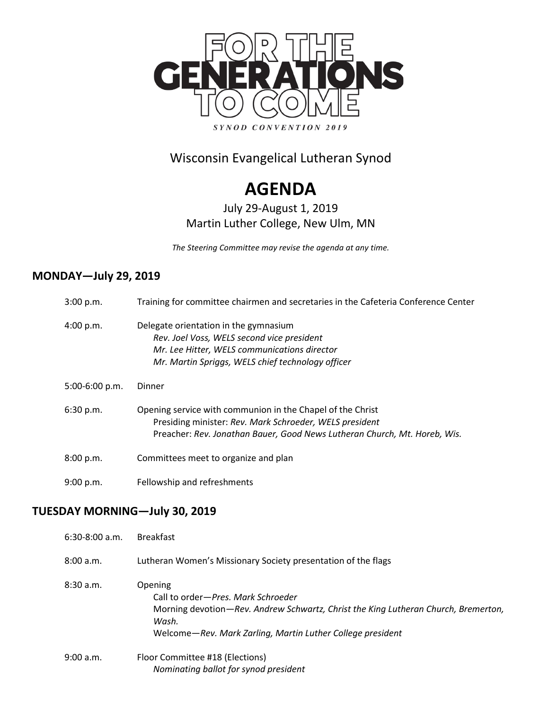

### Wisconsin Evangelical Lutheran Synod

# **AGENDA**

### July 29-August 1, 2019 Martin Luther College, New Ulm, MN

*The Steering Committee may revise the agenda at any time.*

#### **MONDAY—July 29, 2019**

| 3:00 p.m.      | Training for committee chairmen and secretaries in the Cafeteria Conference Center                                                                                                                 |
|----------------|----------------------------------------------------------------------------------------------------------------------------------------------------------------------------------------------------|
| 4:00 p.m.      | Delegate orientation in the gymnasium<br>Rev. Joel Voss, WELS second vice president<br>Mr. Lee Hitter, WELS communications director<br>Mr. Martin Spriggs, WELS chief technology officer           |
| 5:00-6:00 p.m. | Dinner                                                                                                                                                                                             |
| 6:30 p.m.      | Opening service with communion in the Chapel of the Christ<br>Presiding minister: Rev. Mark Schroeder, WELS president<br>Preacher: Rev. Jonathan Bauer, Good News Lutheran Church, Mt. Horeb, Wis. |
| 8:00 p.m.      | Committees meet to organize and plan                                                                                                                                                               |
| 9:00 p.m.      | Fellowship and refreshments                                                                                                                                                                        |

### **TUESDAY MORNING—July 30, 2019**

| $6:30-8:00$ a.m. | <b>Breakfast</b>                                                                                                                                                                                           |
|------------------|------------------------------------------------------------------------------------------------------------------------------------------------------------------------------------------------------------|
| 8:00a.m.         | Lutheran Women's Missionary Society presentation of the flags                                                                                                                                              |
| 8:30a.m.         | Opening<br>Call to order—Pres. Mark Schroeder<br>Morning devotion—Rev. Andrew Schwartz, Christ the King Lutheran Church, Bremerton,<br>Wash.<br>Welcome-Rev. Mark Zarling, Martin Luther College president |
| 9:00 a.m.        | Floor Committee #18 (Elections)<br>Nominating ballot for synod president                                                                                                                                   |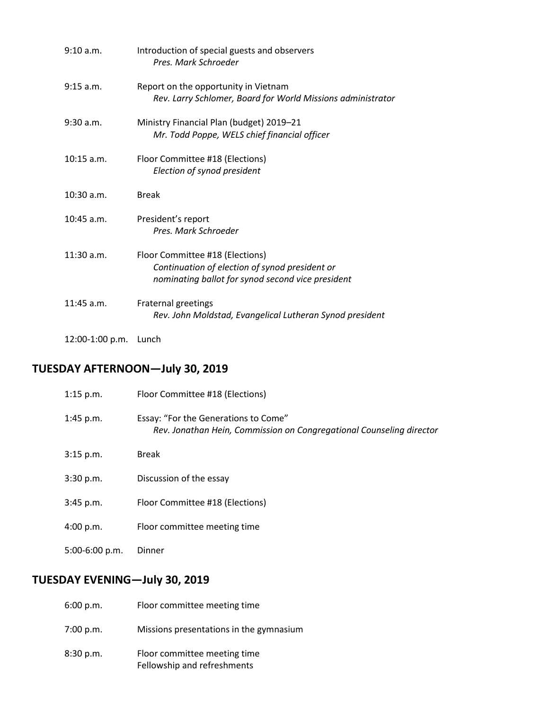| 9:10 a.m.       | Introduction of special guests and observers<br>Pres. Mark Schroeder                                                                   |
|-----------------|----------------------------------------------------------------------------------------------------------------------------------------|
| 9:15 a.m.       | Report on the opportunity in Vietnam<br>Rev. Larry Schlomer, Board for World Missions administrator                                    |
| 9:30 a.m.       | Ministry Financial Plan (budget) 2019-21<br>Mr. Todd Poppe, WELS chief financial officer                                               |
| $10:15$ a.m.    | Floor Committee #18 (Elections)<br>Election of synod president                                                                         |
| $10:30$ a.m.    | <b>Break</b>                                                                                                                           |
| $10:45$ a.m.    | President's report<br>Pres. Mark Schroeder                                                                                             |
| $11:30$ a.m.    | Floor Committee #18 (Elections)<br>Continuation of election of synod president or<br>nominating ballot for synod second vice president |
| $11:45$ a.m.    | Fraternal greetings<br>Rev. John Moldstad, Evangelical Lutheran Synod president                                                        |
| 12:00-1:00 p.m. | Lunch                                                                                                                                  |

## **TUESDAY AFTERNOON—July 30, 2019**

| $1:15$ p.m.    | Floor Committee #18 (Elections)                                                                              |
|----------------|--------------------------------------------------------------------------------------------------------------|
| 1:45 p.m.      | Essay: "For the Generations to Come"<br>Rev. Jonathan Hein, Commission on Congregational Counseling director |
| 3:15 p.m.      | <b>Break</b>                                                                                                 |
| 3:30 p.m.      | Discussion of the essay                                                                                      |
| 3:45 p.m.      | Floor Committee #18 (Elections)                                                                              |
| 4:00 p.m.      | Floor committee meeting time                                                                                 |
| 5:00-6:00 p.m. | Dinner                                                                                                       |

## **TUESDAY EVENING—July 30, 2019**

| 6:00 p.m. | Floor committee meeting time                                |
|-----------|-------------------------------------------------------------|
| 7:00 p.m. | Missions presentations in the gymnasium                     |
| 8:30 p.m. | Floor committee meeting time<br>Fellowship and refreshments |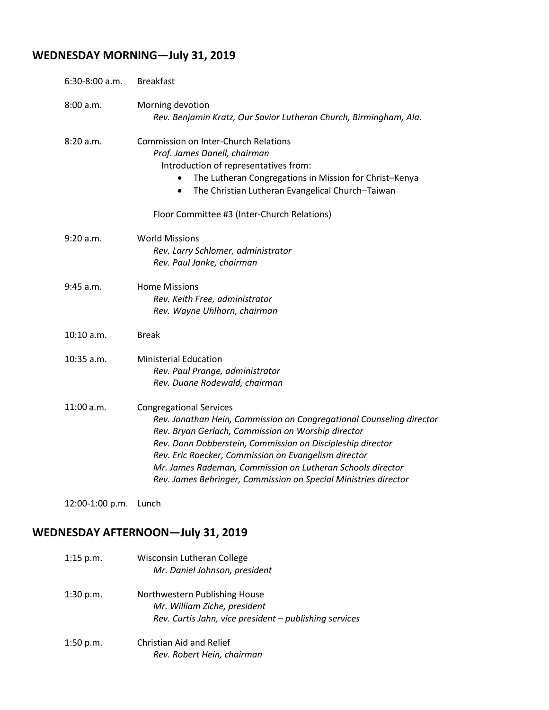# **WEDNESDAY MORNING—July 31, 2019**

| 6:30-8:00 a.m.  | <b>Breakfast</b>                                                                                                                                                                                                                                                                                                                                                                                                    |
|-----------------|---------------------------------------------------------------------------------------------------------------------------------------------------------------------------------------------------------------------------------------------------------------------------------------------------------------------------------------------------------------------------------------------------------------------|
| 8:00 a.m.       | Morning devotion<br>Rev. Benjamin Kratz, Our Savior Lutheran Church, Birmingham, Ala.                                                                                                                                                                                                                                                                                                                               |
| 8:20a.m.        | <b>Commission on Inter-Church Relations</b><br>Prof. James Danell, chairman<br>Introduction of representatives from:<br>The Lutheran Congregations in Mission for Christ-Kenya<br>The Christian Lutheran Evangelical Church-Taiwan<br>$\bullet$<br>Floor Committee #3 (Inter-Church Relations)                                                                                                                      |
| 9:20 a.m.       | <b>World Missions</b><br>Rev. Larry Schlomer, administrator<br>Rev. Paul Janke, chairman                                                                                                                                                                                                                                                                                                                            |
| 9:45 a.m.       | <b>Home Missions</b><br>Rev. Keith Free, administrator<br>Rev. Wayne Uhlhorn, chairman                                                                                                                                                                                                                                                                                                                              |
| 10:10 a.m.      | <b>Break</b>                                                                                                                                                                                                                                                                                                                                                                                                        |
| 10:35 a.m.      | <b>Ministerial Education</b><br>Rev. Paul Prange, administrator<br>Rev. Duane Rodewald, chairman                                                                                                                                                                                                                                                                                                                    |
| 11:00 a.m.      | <b>Congregational Services</b><br>Rev. Jonathan Hein, Commission on Congregational Counseling director<br>Rev. Bryan Gerlach, Commission on Worship director<br>Rev. Donn Dobberstein, Commission on Discipleship director<br>Rev. Eric Roecker, Commission on Evangelism director<br>Mr. James Rademan, Commission on Lutheran Schools director<br>Rev. James Behringer, Commission on Special Ministries director |
| 12:00-1:00 p.m. | Lunch                                                                                                                                                                                                                                                                                                                                                                                                               |

### **WEDNESDAY AFTERNOON—July 31, 2019**

| $1:15$ p.m. | Wisconsin Lutheran College<br>Mr. Daniel Johnson, president                                                             |
|-------------|-------------------------------------------------------------------------------------------------------------------------|
| $1:30$ p.m. | Northwestern Publishing House<br>Mr. William Ziche, president<br>Rev. Curtis Jahn, vice president - publishing services |
| 1:50 p.m.   | Christian Aid and Relief<br>Rev. Robert Hein, chairman                                                                  |